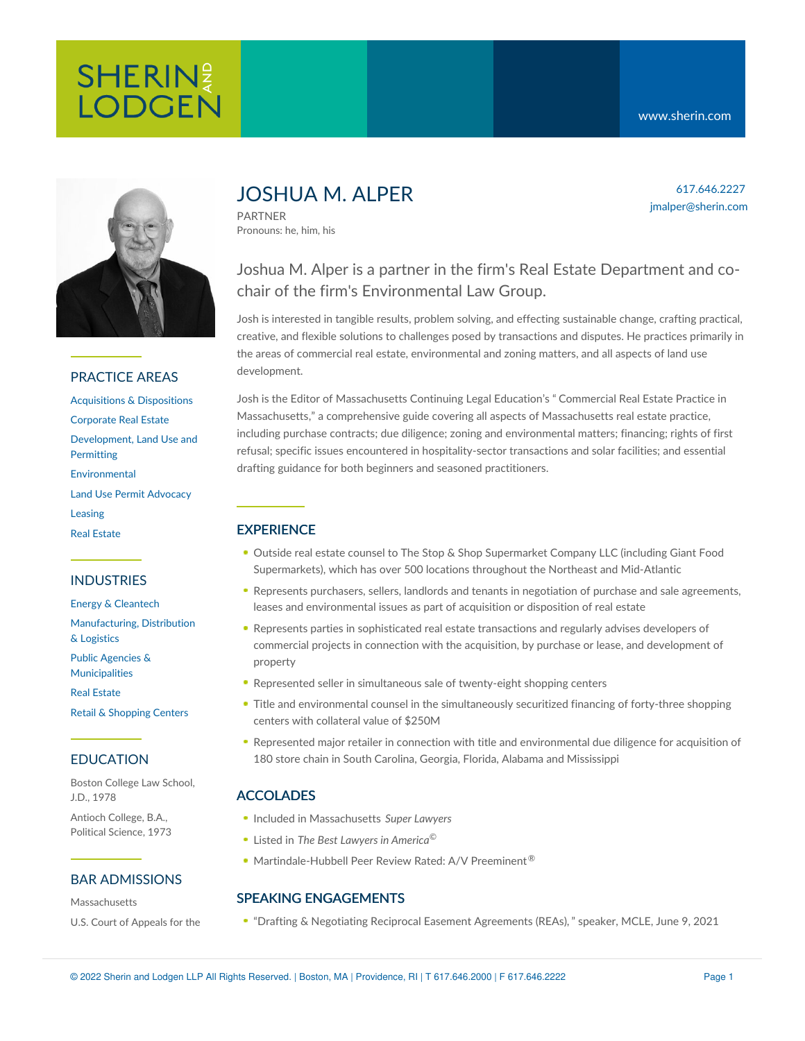

#### PRACTICE AREAS

[Acquisitions](https://www.sherin.com/practice-areas/real-estate/acquisitions-and-dispositions/) & Dispositions [Corporate](https://www.sherin.com/practice-areas/real-estate/corporate-real-estate/) Real Estate [Development,](https://www.sherin.com/practice-areas/real-estate/development/) Land Use and **Permitting** [Environmental](https://www.sherin.com/practice-areas/environmental/) Land Use Permit [Advocacy](https://www.sherin.com/practice-areas/real-estate/land-use-permit-advocacy/) [Leasing](https://www.sherin.com/practice-areas/real-estate/leasing/) Real [Estate](https://www.sherin.com/practice-areas/real-estate/)

#### INDUSTRIES

Energy & [Cleantech](https://www.sherin.com/industries/energy-and-cleantech/) [Manufacturing,](https://www.sherin.com/industries/manufacturing-distribution-and-logistics/) Distribution & Logistics Public Agencies & [Municipalities](https://www.sherin.com/industries/public-agencies-and-municipalities/) Real [Estate](https://www.sherin.com/industries/real-estate/)

Retail & [Shopping](https://www.sherin.com/industries/retail-shopping-centers/) Centers

#### EDUCATION

Boston College Law School, J.D., 1978

Antioch College, B.A., Political Science, 1973

#### BAR ADMISSIONS

Massachusetts U.S. Court of Appeals for the

# JOSHUA M. ALPER

PARTNER Pronouns: he, him, his

# Joshua M. Alper is a partner in the firm's Real Estate Department and cochair of the firm's Environmental Law Group.

Josh is interested in tangible results, problem solving, and effecting sustainable change, crafting practical, creative, and flexible solutions to challenges posed by transactions and disputes. He practices primarily in the areas of commercial real estate, environmental and zoning matters, and all aspects of land use development.

Josh is the Editor of Massachusetts Continuing Legal Education's " Commercial Real Estate Practice in [Massachusetts,"](https://www.mcle.org/product/catalog/code/2210197B00) a comprehensive guide covering all aspects of Massachusetts real estate practice, including purchase contracts; due diligence; zoning and environmental matters; financing; rights of first refusal; specific issues encountered in hospitality-sector transactions and solar facilities; and essential drafting guidance for both beginners and seasoned practitioners.

## **EXPERIENCE**

- Outside real estate counsel to The Stop & Shop Supermarket Company LLC (including Giant Food Supermarkets), which has over 500 locations throughout the Northeast and Mid-Atlantic
- Represents purchasers, sellers, landlords and tenants in negotiation of purchase and sale agreements, leases and environmental issues as part of acquisition or disposition of real estate
- Represents parties in sophisticated real estate transactions and regularly advises developers of commercial projects in connection with the acquisition, by purchase or lease, and development of property
- Represented seller in simultaneous sale of twenty-eight shopping centers
- Title and environmental counsel in the simultaneously securitized financing of forty-three shopping centers with collateral value of \$250M
- Represented major retailer in connection with title and environmental due diligence for acquisition of 180 store chain in South Carolina, Georgia, Florida, Alabama and Mississippi

#### ACCOLADES

- Included in Massachusetts *Super Lawyers*
- Listed in *The Best Lawyers in America* ©
- Martindale-Hubbell Peer Review Rated: A/V Preeminent<sup>®</sup>

### SPEAKING ENGAGEMENTS

"Drafting & Negotiating Reciprocal Easement [Agreements](https://www.mcle.org/product/catalog/code/2210302P01) (REAs)," speaker, MCLE, June 9, 2021

617.646.2227 jmalper@sherin.com